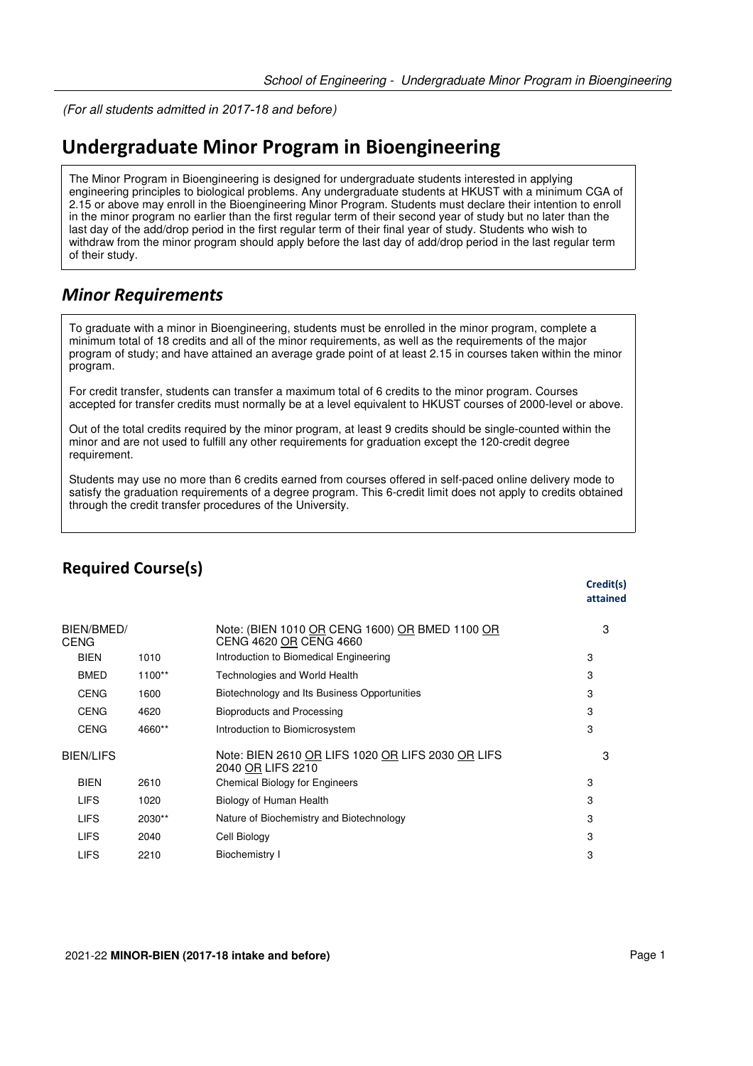(For all students *admitted in 2017-18 and before*)

## **Undergraduate Minor Program in Bioengineering**

The Minor Program in Bioengineering is designed for undergraduate students interested in applying engineering principles to biological problems. Any undergraduate students at HKUST with a minimum CGA of 2.15 or above may enroll in the Bioengineering Minor Program. Students must declare their intention to enroll in the minor program no earlier than the first regular term of their second year of study but no later than the last day of the add/drop period in the first regular term of their final year of study. Students who wish to withdraw from the minor program should apply before the last day of add/drop period in the last regular term of their study.

### *Minor Requirements*

To graduate with a minor in Bioengineering, students must be enrolled in the minor program, complete a minimum total of 18 credits and all of the minor requirements, as well as the requirements of the major program of study; and have attained an average grade point of at least 2.15 in courses taken within the minor program.

For credit transfer, students can transfer a maximum total of 6 credits to the minor program. Courses accepted for transfer credits must normally be at a level equivalent to HKUST courses of 2000-level or above.

Out of the total credits required by the minor program, at least 9 credits should be single-counted within the minor and are not used to fulfill any other requirements for graduation except the 120-credit degree requirement.

Students may use no more than 6 credits earned from courses offered in self-paced online delivery mode to satisfy the graduation requirements of a degree program. This 6-credit limit does not apply to credits obtained through the credit transfer procedures of the University.

## **Required Course(s)**

|                    |        |                                                                          | Credit(s)<br>attained |
|--------------------|--------|--------------------------------------------------------------------------|-----------------------|
| BIEN/BMED/<br>CENG |        | Note: (BIEN 1010 OR CENG 1600) OR BMED 1100 OR<br>CENG 4620 OR CENG 4660 | 3                     |
| <b>BIEN</b>        | 1010   | Introduction to Biomedical Engineering                                   | 3                     |
| <b>BMED</b>        | 1100** | Technologies and World Health                                            | 3                     |
| <b>CENG</b>        | 1600   | Biotechnology and Its Business Opportunities                             | 3                     |
| <b>CENG</b>        | 4620   | Bioproducts and Processing                                               | 3                     |
| <b>CENG</b>        | 4660** | Introduction to Biomicrosystem                                           | 3                     |
| <b>BIEN/LIFS</b>   |        | Note: BIEN 2610 OR LIFS 1020 OR LIFS 2030 OR LIFS<br>2040 OR LIFS 2210   | з                     |
| <b>BIEN</b>        | 2610   | <b>Chemical Biology for Engineers</b>                                    | 3                     |
| <b>LIFS</b>        | 1020   | Biology of Human Health                                                  | 3                     |
| <b>LIFS</b>        | 2030** | Nature of Biochemistry and Biotechnology                                 | 3                     |
| <b>LIFS</b>        | 2040   | Cell Biology                                                             | 3                     |
| <b>LIFS</b>        | 2210   | Biochemistry I                                                           | 3                     |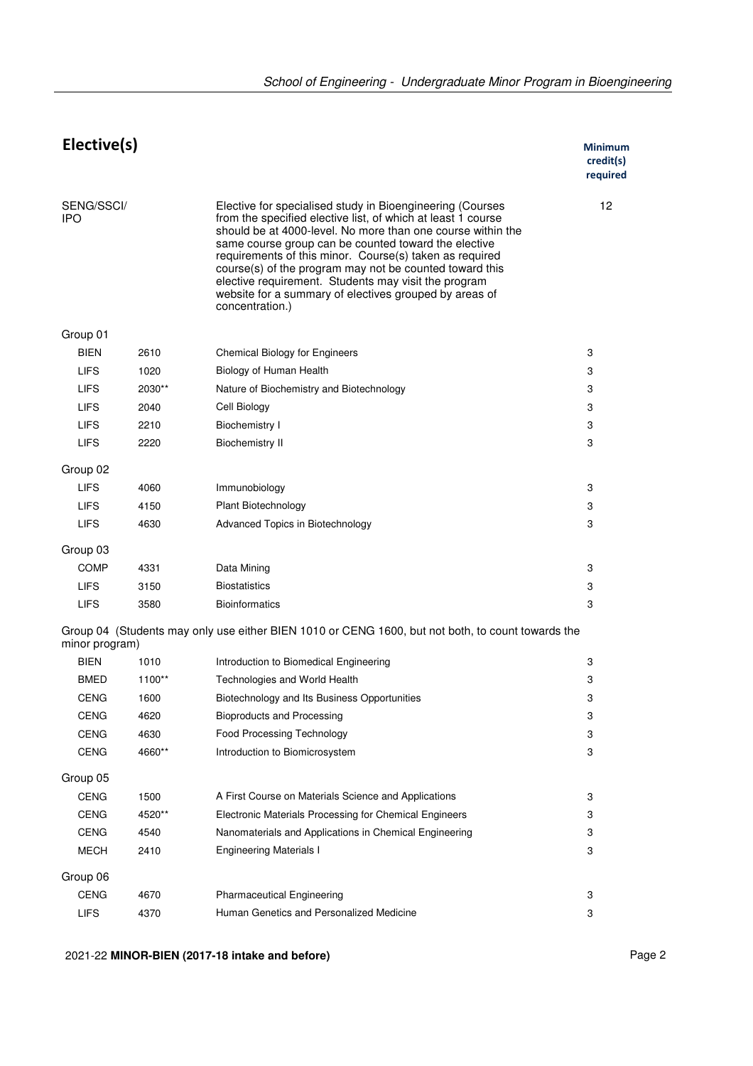| Elective(s)       |        |                                                                                                                                                                                                                                                                                                                                                                                                                                                                                                             | Minimum<br>credit(s)<br>required |  |
|-------------------|--------|-------------------------------------------------------------------------------------------------------------------------------------------------------------------------------------------------------------------------------------------------------------------------------------------------------------------------------------------------------------------------------------------------------------------------------------------------------------------------------------------------------------|----------------------------------|--|
| SENG/SSCI/<br>IPO |        | Elective for specialised study in Bioengineering (Courses<br>from the specified elective list, of which at least 1 course<br>should be at 4000-level. No more than one course within the<br>same course group can be counted toward the elective<br>requirements of this minor. Course(s) taken as required<br>course(s) of the program may not be counted toward this<br>elective requirement. Students may visit the program<br>website for a summary of electives grouped by areas of<br>concentration.) | 12                               |  |
| Group 01          |        |                                                                                                                                                                                                                                                                                                                                                                                                                                                                                                             |                                  |  |
| <b>BIEN</b>       | 2610   | <b>Chemical Biology for Engineers</b>                                                                                                                                                                                                                                                                                                                                                                                                                                                                       | 3                                |  |
| <b>LIFS</b>       | 1020   | Biology of Human Health                                                                                                                                                                                                                                                                                                                                                                                                                                                                                     | 3                                |  |
| <b>LIFS</b>       | 2030** | Nature of Biochemistry and Biotechnology                                                                                                                                                                                                                                                                                                                                                                                                                                                                    | 3                                |  |
| <b>LIFS</b>       | 2040   | Cell Biology                                                                                                                                                                                                                                                                                                                                                                                                                                                                                                | 3                                |  |
| <b>LIFS</b>       | 2210   | Biochemistry I                                                                                                                                                                                                                                                                                                                                                                                                                                                                                              | 3                                |  |
| <b>LIFS</b>       | 2220   | <b>Biochemistry II</b>                                                                                                                                                                                                                                                                                                                                                                                                                                                                                      | 3                                |  |
|                   |        |                                                                                                                                                                                                                                                                                                                                                                                                                                                                                                             |                                  |  |
| Group 02          |        |                                                                                                                                                                                                                                                                                                                                                                                                                                                                                                             |                                  |  |
| <b>LIFS</b>       | 4060   | Immunobiology                                                                                                                                                                                                                                                                                                                                                                                                                                                                                               | 3                                |  |
| <b>LIFS</b>       | 4150   | Plant Biotechnology                                                                                                                                                                                                                                                                                                                                                                                                                                                                                         | 3                                |  |
| <b>LIFS</b>       | 4630   | Advanced Topics in Biotechnology                                                                                                                                                                                                                                                                                                                                                                                                                                                                            | 3                                |  |
| Group 03          |        |                                                                                                                                                                                                                                                                                                                                                                                                                                                                                                             |                                  |  |
| <b>COMP</b>       | 4331   | Data Mining                                                                                                                                                                                                                                                                                                                                                                                                                                                                                                 | 3                                |  |
| <b>LIFS</b>       | 3150   | <b>Biostatistics</b>                                                                                                                                                                                                                                                                                                                                                                                                                                                                                        | 3                                |  |
| <b>LIFS</b>       | 3580   | <b>Bioinformatics</b>                                                                                                                                                                                                                                                                                                                                                                                                                                                                                       | 3                                |  |
| minor program)    |        | Group 04 (Students may only use either BIEN 1010 or CENG 1600, but not both, to count towards the                                                                                                                                                                                                                                                                                                                                                                                                           |                                  |  |
| <b>BIEN</b>       | 1010   | Introduction to Biomedical Engineering                                                                                                                                                                                                                                                                                                                                                                                                                                                                      | 3                                |  |
| <b>BMED</b>       | 1100** | Technologies and World Health                                                                                                                                                                                                                                                                                                                                                                                                                                                                               | 3                                |  |
| <b>CENG</b>       | 1600   | Biotechnology and Its Business Opportunities                                                                                                                                                                                                                                                                                                                                                                                                                                                                | 3                                |  |
| <b>CENG</b>       | 4620   | <b>Bioproducts and Processing</b>                                                                                                                                                                                                                                                                                                                                                                                                                                                                           | 3                                |  |
| <b>CENG</b>       | 4630   | Food Processing Technology                                                                                                                                                                                                                                                                                                                                                                                                                                                                                  | 3                                |  |
| <b>CENG</b>       | 4660** | Introduction to Biomicrosystem                                                                                                                                                                                                                                                                                                                                                                                                                                                                              | 3                                |  |
| Group 05          |        |                                                                                                                                                                                                                                                                                                                                                                                                                                                                                                             |                                  |  |
| <b>CENG</b>       | 1500   | A First Course on Materials Science and Applications                                                                                                                                                                                                                                                                                                                                                                                                                                                        | 3                                |  |
| <b>CENG</b>       | 4520** | Electronic Materials Processing for Chemical Engineers                                                                                                                                                                                                                                                                                                                                                                                                                                                      | 3                                |  |
| <b>CENG</b>       | 4540   | Nanomaterials and Applications in Chemical Engineering                                                                                                                                                                                                                                                                                                                                                                                                                                                      | 3                                |  |
| <b>MECH</b>       | 2410   | <b>Engineering Materials I</b>                                                                                                                                                                                                                                                                                                                                                                                                                                                                              | 3                                |  |
| Group 06          |        |                                                                                                                                                                                                                                                                                                                                                                                                                                                                                                             |                                  |  |
| <b>CENG</b>       | 4670   | <b>Pharmaceutical Engineering</b>                                                                                                                                                                                                                                                                                                                                                                                                                                                                           | 3                                |  |
| <b>LIFS</b>       | 4370   | Human Genetics and Personalized Medicine                                                                                                                                                                                                                                                                                                                                                                                                                                                                    | 3                                |  |

2021-22 **MINOR-BIEN (2017-18 intake and before)** Page 2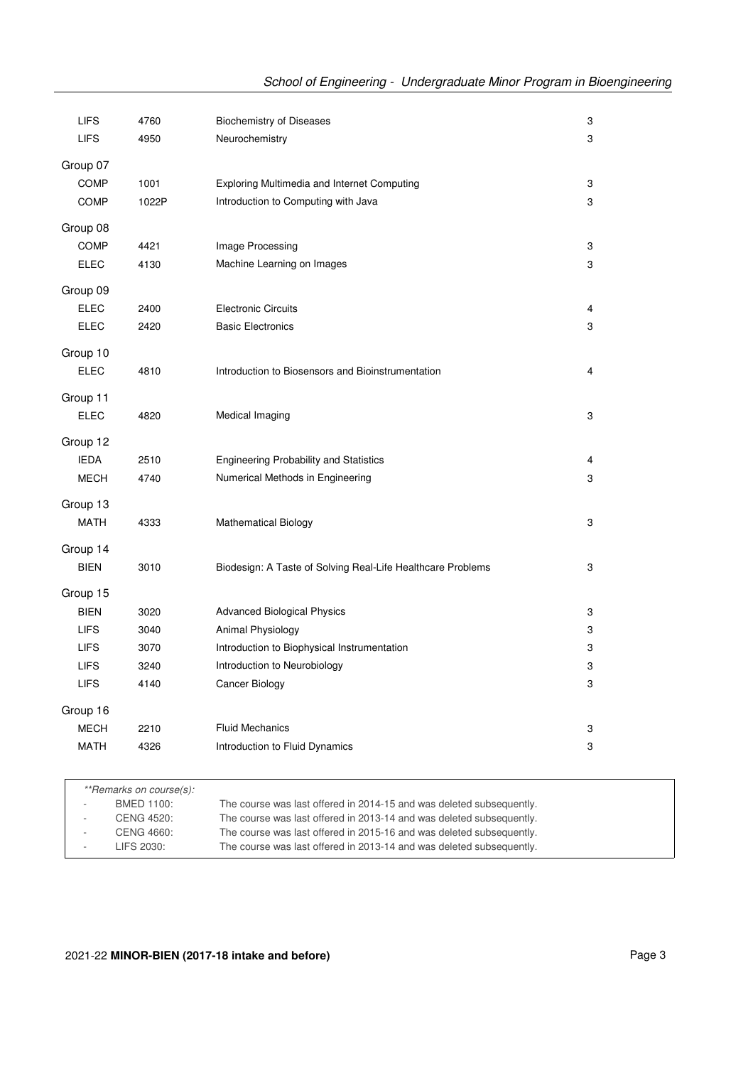| <b>LIFS</b>             | 4760  | <b>Biochemistry of Diseases</b>                             | 3                       |
|-------------------------|-------|-------------------------------------------------------------|-------------------------|
| <b>LIFS</b>             | 4950  | Neurochemistry                                              | 3                       |
| Group 07                |       |                                                             |                         |
| <b>COMP</b>             | 1001  | <b>Exploring Multimedia and Internet Computing</b>          | 3                       |
| <b>COMP</b>             | 1022P | Introduction to Computing with Java                         | 3                       |
|                         |       |                                                             |                         |
| Group 08                |       |                                                             |                         |
| <b>COMP</b>             | 4421  | Image Processing                                            | 3                       |
| <b>ELEC</b>             | 4130  | Machine Learning on Images                                  | 3                       |
| Group 09                |       |                                                             |                         |
| <b>ELEC</b>             | 2400  | <b>Electronic Circuits</b>                                  | $\overline{\mathbf{4}}$ |
| <b>ELEC</b>             | 2420  | <b>Basic Electronics</b>                                    | 3                       |
| Group 10                |       |                                                             |                         |
| <b>ELEC</b>             | 4810  | Introduction to Biosensors and Bioinstrumentation           | 4                       |
|                         |       |                                                             |                         |
| Group 11                |       |                                                             |                         |
| <b>ELEC</b>             | 4820  | Medical Imaging                                             | 3                       |
| Group 12                |       |                                                             |                         |
| <b>IEDA</b>             | 2510  | <b>Engineering Probability and Statistics</b>               | $\overline{\mathbf{4}}$ |
| <b>MECH</b>             | 4740  | Numerical Methods in Engineering                            | 3                       |
|                         |       |                                                             |                         |
| Group 13                |       |                                                             |                         |
| <b>MATH</b>             | 4333  | <b>Mathematical Biology</b>                                 | 3                       |
| Group 14                |       |                                                             |                         |
| <b>BIEN</b>             | 3010  | Biodesign: A Taste of Solving Real-Life Healthcare Problems | 3                       |
|                         |       |                                                             |                         |
| Group 15<br><b>BIEN</b> | 3020  |                                                             | 3                       |
| <b>LIFS</b>             | 3040  | <b>Advanced Biological Physics</b><br>Animal Physiology     | 3                       |
| <b>LIFS</b>             | 3070  | Introduction to Biophysical Instrumentation                 | 3                       |
| <b>LIFS</b>             | 3240  | Introduction to Neurobiology                                | 3                       |
| <b>LIFS</b>             | 4140  | Cancer Biology                                              | 3                       |
|                         |       |                                                             |                         |
| Group 16                |       |                                                             |                         |
| <b>MECH</b>             | 2210  | <b>Fluid Mechanics</b>                                      | 3                       |
| <b>MATH</b>             | 4326  | Introduction to Fluid Dynamics                              | 3                       |
|                         |       |                                                             |                         |

|        | **Remarks on course(s): |                                                                      |
|--------|-------------------------|----------------------------------------------------------------------|
| $\sim$ | BMED 1100:              | The course was last offered in 2014-15 and was deleted subsequently. |
| $\sim$ | CENG 4520:              | The course was last offered in 2013-14 and was deleted subsequently. |
| $\sim$ | CENG 4660:              | The course was last offered in 2015-16 and was deleted subsequently. |
| $\sim$ | LIFS 2030:              | The course was last offered in 2013-14 and was deleted subsequently. |
|        |                         |                                                                      |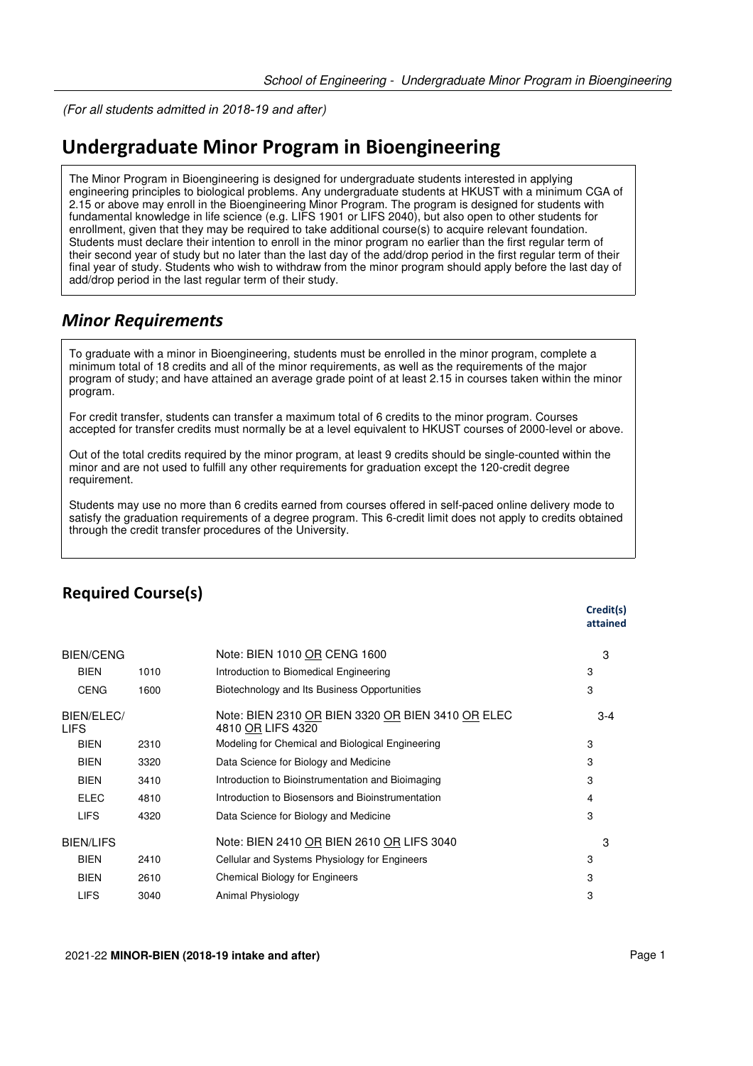(For all students *admitted in 2018-19 and after*)

# **Undergraduate Minor Program in Bioengineering**

The Minor Program in Bioengineering is designed for undergraduate students interested in applying engineering principles to biological problems. Any undergraduate students at HKUST with a minimum CGA of 2.15 or above may enroll in the Bioengineering Minor Program. The program is designed for students with fundamental knowledge in life science (e.g. LIFS 1901 or LIFS 2040), but also open to other students for enrollment, given that they may be required to take additional course(s) to acquire relevant foundation. Students must declare their intention to enroll in the minor program no earlier than the first regular term of their second year of study but no later than the last day of the add/drop period in the first regular term of their final year of study. Students who wish to withdraw from the minor program should apply before the last day of add/drop period in the last regular term of their study.

## *Minor Requirements*

To graduate with a minor in Bioengineering, students must be enrolled in the minor program, complete a minimum total of 18 credits and all of the minor requirements, as well as the requirements of the major program of study; and have attained an average grade point of at least 2.15 in courses taken within the minor program.

For credit transfer, students can transfer a maximum total of 6 credits to the minor program. Courses accepted for transfer credits must normally be at a level equivalent to HKUST courses of 2000-level or above.

Out of the total credits required by the minor program, at least 9 credits should be single-counted within the minor and are not used to fulfill any other requirements for graduation except the 120-credit degree requirement.

Students may use no more than 6 credits earned from courses offered in self-paced online delivery mode to satisfy the graduation requirements of a degree program. This 6-credit limit does not apply to credits obtained through the credit transfer procedures of the University.

|                           |      |                                                                        | attained |
|---------------------------|------|------------------------------------------------------------------------|----------|
| <b>BIEN/CENG</b>          |      | Note: BIEN 1010 OR CENG 1600                                           | 3        |
| <b>BIEN</b>               | 1010 | Introduction to Biomedical Engineering                                 | 3        |
| <b>CENG</b>               | 1600 | Biotechnology and Its Business Opportunities                           | 3        |
| BIEN/ELEC/<br><b>LIFS</b> |      | Note: BIEN 2310 OR BIEN 3320 OR BIEN 3410 OR ELEC<br>4810 OR LIFS 4320 | $3 - 4$  |
| <b>BIEN</b>               | 2310 | Modeling for Chemical and Biological Engineering                       | 3        |
| <b>BIEN</b>               | 3320 | Data Science for Biology and Medicine                                  | 3        |
| <b>BIEN</b>               | 3410 | Introduction to Bioinstrumentation and Bioimaging                      | 3        |
| <b>ELEC</b>               | 4810 | Introduction to Biosensors and Bioinstrumentation                      | 4        |
| <b>LIFS</b>               | 4320 | Data Science for Biology and Medicine                                  | 3        |
| <b>BIEN/LIFS</b>          |      | Note: BIEN 2410 OR BIEN 2610 OR LIFS 3040                              | З        |
| <b>BIEN</b>               | 2410 | Cellular and Systems Physiology for Engineers                          | 3        |
| <b>BIEN</b>               | 2610 | <b>Chemical Biology for Engineers</b>                                  | 3        |
| <b>LIFS</b>               | 3040 | Animal Physiology                                                      | 3        |

## **Required Course(s)**

**Credit(s)**